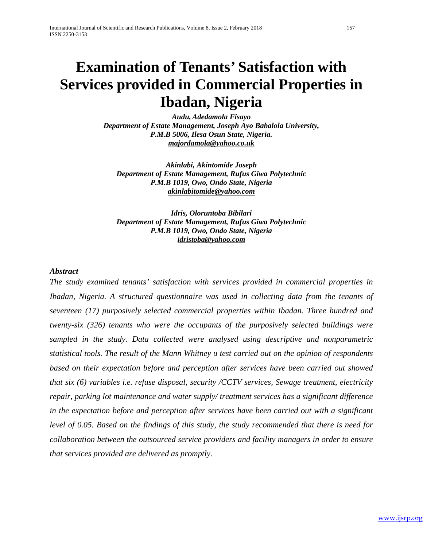# **Examination of Tenants' Satisfaction with Services provided in Commercial Properties in Ibadan, Nigeria**

*Audu,Adedamola Fisayo Department of Estate Management, Joseph Ayo Babalola University, P.M.B 5006, Ilesa Osun State, Nigeria. [majordamola@yahoo.co.uk](mailto:majordamola@yahoo.co.uk)*

*Akinlabi, Akintomide Joseph Department of Estate Management, Rufus Giwa Polytechnic P.M.B 1019, Owo, Ondo State, Nigeria [akinlabitomide@yahoo.com](mailto:akinlabitomide@yahoo.com)*

*Idris, Oloruntoba Bibilari Department of Estate Management, Rufus Giwa Polytechnic P.M.B 1019, Owo, Ondo State, Nigeria [idristoba@yahoo.com](mailto:idristoba@yahoo.com)*

# *Abstract*

*The study examined tenants' satisfaction with services provided in commercial properties in Ibadan, Nigeria. A structured questionnaire was used in collecting data from the tenants of seventeen (17) purposively selected commercial properties within Ibadan. Three hundred and twenty-six (326) tenants who were the occupants of the purposively selected buildings were sampled in the study. Data collected were analysed using descriptive and nonparametric statistical tools. The result of the Mann Whitney u test carried out on the opinion of respondents based on their expectation before and perception after services have been carried out showed that six (6) variables i.e. refuse disposal, security /CCTV services, Sewage treatment, electricity repair, parking lot maintenance and water supply/ treatment services has a significant difference in the expectation before and perception after services have been carried out with a significant level of 0.05. Based on the findings of this study, the study recommended that there is need for collaboration between the outsourced service providers and facility managers in order to ensure that services provided are delivered as promptly.*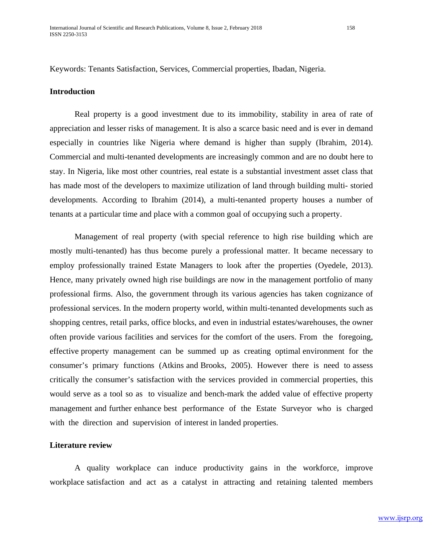Keywords: Tenants Satisfaction, Services, Commercial properties, Ibadan, Nigeria.

# **Introduction**

Real property is a good investment due to its immobility, stability in area of rate of appreciation and lesser risks of management. It is also a scarce basic need and is ever in demand especially in countries like Nigeria where demand is higher than supply (Ibrahim, 2014). Commercial and multi-tenanted developments are increasingly common and are no doubt here to stay. In Nigeria, like most other countries, real estate is a substantial investment asset class that has made most of the developers to maximize utilization of land through building multi- storied developments. According to Ibrahim (2014), a multi-tenanted property houses a number of tenants at a particular time and place with a common goal of occupying such a property.

Management of real property (with special reference to high rise building which are mostly multi-tenanted) has thus become purely a professional matter. It became necessary to employ professionally trained Estate Managers to look after the properties (Oyedele, 2013). Hence, many privately owned high rise buildings are now in the management portfolio of many professional firms. Also, the government through its various agencies has taken cognizance of professional services. In the modern property world, within multi-tenanted developments such as shopping centres, retail parks, office blocks, and even in industrial estates/warehouses, the owner often provide various facilities and services for the comfort of the users. From the foregoing, effective property management can be summed up as creating optimal environment for the consumer's primary functions (Atkins and Brooks, 2005). However there is need to assess critically the consumer's satisfaction with the services provided in commercial properties, this would serve as a tool so as to visualize and bench-mark the added value of effective property management and further enhance best performance of the Estate Surveyor who is charged with the direction and supervision of interest in landed properties.

#### **Literature review**

A quality workplace can induce productivity gains in the workforce, improve workplace satisfaction and act as a catalyst in attracting and retaining talented members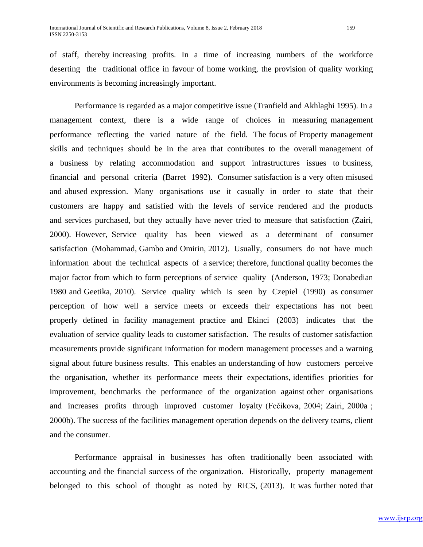of staff, thereby increasing profits. In a time of increasing numbers of the workforce deserting the traditional office in favour of home working, the provision of quality working environments is becoming increasingly important.

Performance is regarded as a major competitive issue (Tranfield and Akhlaghi 1995). In a management context, there is a wide range of choices in measuring management performance reflecting the varied nature of the field. The focus of Property management skills and techniques should be in the area that contributes to the overall management of a business by relating accommodation and support infrastructures issues to business, financial and personal criteria (Barret 1992). Consumer satisfaction is a very often misused and abused expression. Many organisations use it casually in order to state that their customers are happy and satisfied with the levels of service rendered and the products and services purchased, but they actually have never tried to measure that satisfaction (Zairi, 2000). However, Service quality has been viewed as a determinant of consumer satisfaction (Mohammad, Gambo and Omirin, 2012). Usually, consumers do not have much information about the technical aspects of a service; therefore, functional quality becomes the major factor from which to form perceptions of service quality (Anderson, 1973; Donabedian 1980 and Geetika, 2010). Service quality which is seen by Czepiel (1990) as consumer perception of how well a service meets or exceeds their expectations has not been properly defined in facility management practice and Ekinci (2003) indicates that the evaluation of service quality leads to customer satisfaction. The results of customer satisfaction measurements provide significant information for modern management processes and a warning signal about future business results. This enables an understanding of how customers perceive the organisation, whether its performance meets their expectations, identifies priorities for improvement, benchmarks the performance of the organization against other organisations and increases profits through improved customer loyalty (Fečikova, 2004; Zairi, 2000a ; 2000b). The success of the facilities management operation depends on the delivery teams, client and the consumer.

Performance appraisal in businesses has often traditionally been associated with accounting and the financial success of the organization. Historically, property management belonged to this school of thought as noted by RICS, (2013). It was further noted that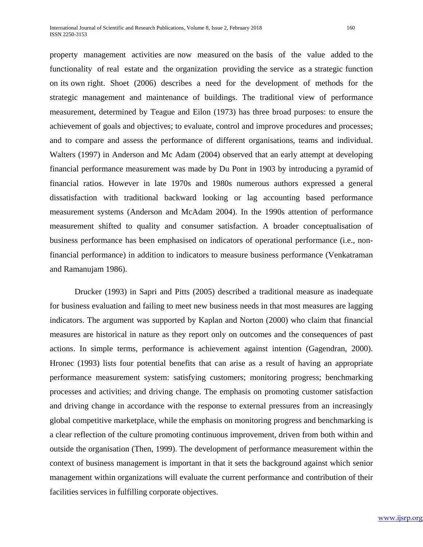property management activities are now measured on the basis of the value added to the functionality of real estate and the organization providing the service as a strategic function on its own right. Shoet (2006) describes a need for the development of methods for the strategic management and maintenance of buildings. The traditional view of performance measurement, determined by Teague and Eilon (1973) has three broad purposes: to ensure the achievement of goals and objectives; to evaluate, control and improve procedures and processes; and to compare and assess the performance of different organisations, teams and individual. Walters (1997) in Anderson and Mc Adam (2004) observed that an early attempt at developing financial performance measurement was made by Du Pont in 1903 by introducing a pyramid of financial ratios. However in late 1970s and 1980s numerous authors expressed a general dissatisfaction with traditional backward looking or lag accounting based performance measurement systems (Anderson and McAdam 2004). In the 1990s attention of performance measurement shifted to quality and consumer satisfaction. A broader conceptualisation of business performance has been emphasised on indicators of operational performance (i.e., nonfinancial performance) in addition to indicators to measure business performance (Venkatraman and Ramanujam 1986).

Drucker (1993) in Sapri and Pitts (2005) described a traditional measure as inadequate for business evaluation and failing to meet new business needs in that most measures are lagging indicators. The argument was supported by Kaplan and Norton (2000) who claim that financial measures are historical in nature as they report only on outcomes and the consequences of past actions. In simple terms, performance is achievement against intention (Gagendran, 2000). Hronec (1993) lists four potential benefits that can arise as a result of having an appropriate performance measurement system: satisfying customers; monitoring progress; benchmarking processes and activities; and driving change. The emphasis on promoting customer satisfaction and driving change in accordance with the response to external pressures from an increasingly global competitive marketplace, while the emphasis on monitoring progress and benchmarking is a clear reflection of the culture promoting continuous improvement, driven from both within and outside the organisation (Then, 1999). The development of performance measurement within the context of business management is important in that it sets the background against which senior management within organizations will evaluate the current performance and contribution of their facilities services in fulfilling corporate objectives.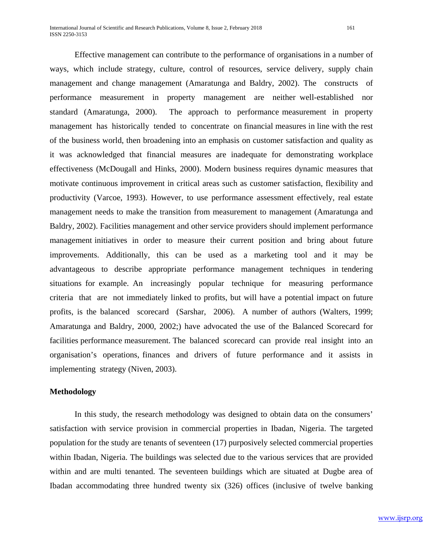Effective management can contribute to the performance of organisations in a number of ways, which include strategy, culture, control of resources, service delivery, supply chain management and change management (Amaratunga and Baldry, 2002). The constructs of performance measurement in property management are neither well-established nor standard (Amaratunga, 2000). The approach to performance measurement in property management has historically tended to concentrate on financial measures in line with the rest of the business world, then broadening into an emphasis on customer satisfaction and quality as it was acknowledged that financial measures are inadequate for demonstrating workplace effectiveness (McDougall and Hinks, 2000). Modern business requires dynamic measures that motivate continuous improvement in critical areas such as customer satisfaction, flexibility and productivity (Varcoe, 1993). However, to use performance assessment effectively, real estate management needs to make the transition from measurement to management (Amaratunga and Baldry, 2002). Facilities management and other service providers should implement performance management initiatives in order to measure their current position and bring about future improvements. Additionally, this can be used as a marketing tool and it may be advantageous to describe appropriate performance management techniques in tendering situations for example. An increasingly popular technique for measuring performance criteria that are not immediately linked to profits, but will have a potential impact on future profits, is the balanced scorecard (Sarshar, 2006). A number of authors (Walters, 1999; Amaratunga and Baldry, 2000, 2002;) have advocated the use of the Balanced Scorecard for facilities performance measurement. The balanced scorecard can provide real insight into an organisation's operations, finances and drivers of future performance and it assists in implementing strategy (Niven, 2003).

#### **Methodology**

In this study, the research methodology was designed to obtain data on the consumers' satisfaction with service provision in commercial properties in Ibadan, Nigeria. The targeted population for the study are tenants of seventeen (17) purposively selected commercial properties within Ibadan, Nigeria. The buildings was selected due to the various services that are provided within and are multi tenanted. The seventeen buildings which are situated at Dugbe area of Ibadan accommodating three hundred twenty six (326) offices (inclusive of twelve banking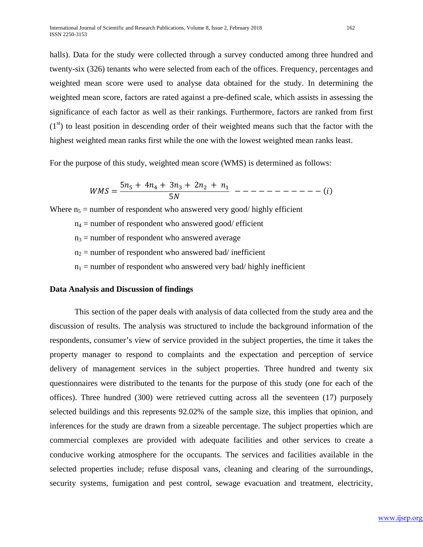halls). Data for the study were collected through a survey conducted among three hundred and twenty-six (326) tenants who were selected from each of the offices. Frequency, percentages and weighted mean score were used to analyse data obtained for the study. In determining the weighted mean score, factors are rated against a pre-defined scale, which assists in assessing the significance of each factor as well as their rankings. Furthermore, factors are ranked from first  $(1<sup>st</sup>)$  to least position in descending order of their weighted means such that the factor with the highest weighted mean ranks first while the one with the lowest weighted mean ranks least.

For the purpose of this study, weighted mean score (WMS) is determined as follows:

$$
WMS = \frac{5n_5 + 4n_4 + 3n_3 + 2n_2 + n_1}{5N} \quad - \quad - \quad - \quad - \quad - \quad - \quad - \quad (i)
$$

Where  $n_5$  = number of respondent who answered very good/ highly efficient

 $n_4$  = number of respondent who answered good/ efficient

 $n_3$  = number of respondent who answered average

 $n_2$  = number of respondent who answered bad/ inefficient

 $n_1$  = number of respondent who answered very bad/ highly inefficient

# **Data Analysis and Discussion of findings**

This section of the paper deals with analysis of data collected from the study area and the discussion of results. The analysis was structured to include the background information of the respondents, consumer's view of service provided in the subject properties, the time it takes the property manager to respond to complaints and the expectation and perception of service delivery of management services in the subject properties. Three hundred and twenty six questionnaires were distributed to the tenants for the purpose of this study (one for each of the offices). Three hundred (300) were retrieved cutting across all the seventeen (17) purposely selected buildings and this represents 92.02% of the sample size, this implies that opinion, and inferences for the study are drawn from a sizeable percentage. The subject properties which are commercial complexes are provided with adequate facilities and other services to create a conducive working atmosphere for the occupants. The services and facilities available in the selected properties include; refuse disposal vans, cleaning and clearing of the surroundings, security systems, fumigation and pest control, sewage evacuation and treatment, electricity,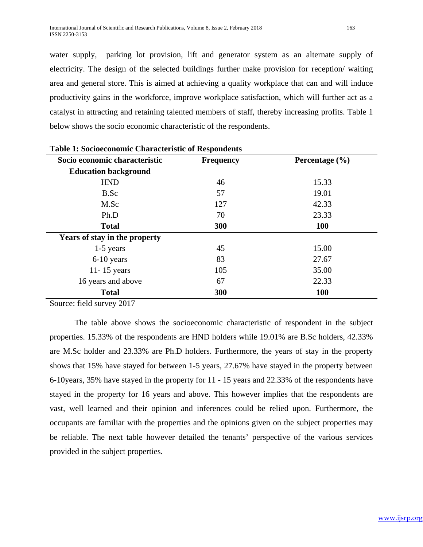water supply, parking lot provision, lift and generator system as an alternate supply of electricity. The design of the selected buildings further make provision for reception/ waiting area and general store. This is aimed at achieving a quality workplace that can and will induce productivity gains in the workforce, improve workplace satisfaction, which will further act as a catalyst in attracting and retaining talented members of staff, thereby increasing profits. Table 1 below shows the socio economic characteristic of the respondents.

| <b>Frequency</b> | Percentage $(\% )$ |
|------------------|--------------------|
|                  |                    |
| 46               | 15.33              |
| 57               | 19.01              |
| 127              | 42.33              |
| 70               | 23.33              |
| 300              | <b>100</b>         |
|                  |                    |
| 45               | 15.00              |
| 83               | 27.67              |
| 105              | 35.00              |
| 67               | 22.33              |
| 300              | <b>100</b>         |
|                  |                    |

**Table 1: Socioeconomic Characteristic of Respondents** 

Source: field survey 2017

The table above shows the socioeconomic characteristic of respondent in the subject properties. 15.33% of the respondents are HND holders while 19.01% are B.Sc holders, 42.33% are M.Sc holder and 23.33% are Ph.D holders. Furthermore, the years of stay in the property shows that 15% have stayed for between 1-5 years, 27.67% have stayed in the property between 6-10years, 35% have stayed in the property for 11 - 15 years and 22.33% of the respondents have stayed in the property for 16 years and above. This however implies that the respondents are vast, well learned and their opinion and inferences could be relied upon. Furthermore, the occupants are familiar with the properties and the opinions given on the subject properties may be reliable. The next table however detailed the tenants' perspective of the various services provided in the subject properties.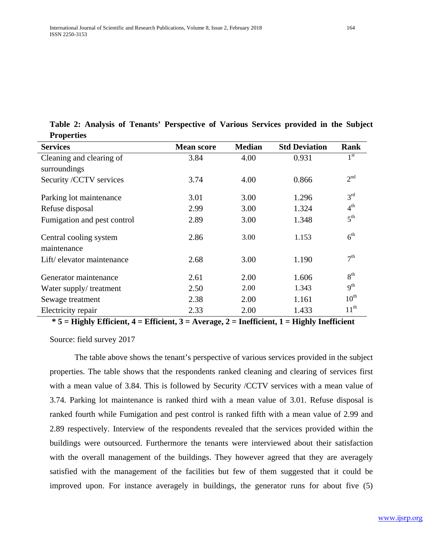| $\sim$ $\sim$ $\sim$ $\sim$ $\sim$ $\sim$ |                   |               |                      |                  |
|-------------------------------------------|-------------------|---------------|----------------------|------------------|
| <b>Services</b>                           | <b>Mean score</b> | <b>Median</b> | <b>Std Deviation</b> | <b>Rank</b>      |
| Cleaning and clearing of                  | 3.84              | 4.00          | 0.931                | $1^{\rm st}$     |
| surroundings                              |                   |               |                      |                  |
| Security /CCTV services                   | 3.74              | 4.00          | 0.866                | 2 <sup>nd</sup>  |
| Parking lot maintenance                   | 3.01              | 3.00          | 1.296                | 3 <sup>rd</sup>  |
| Refuse disposal                           | 2.99              | 3.00          | 1.324                | $4^{\text{th}}$  |
| Fumigation and pest control               | 2.89              | 3.00          | 1.348                | $5^{\text{th}}$  |
| Central cooling system<br>maintenance     | 2.86              | 3.00          | 1.153                | 6 <sup>th</sup>  |
| Lift/elevator maintenance                 | 2.68              | 3.00          | 1.190                | 7 <sup>th</sup>  |
| Generator maintenance                     | 2.61              | 2.00          | 1.606                | 8 <sup>th</sup>  |
| Water supply/ treatment                   | 2.50              | 2.00          | 1.343                | 9 <sup>th</sup>  |
| Sewage treatment                          | 2.38              | 2.00          | 1.161                | $10^{\text{th}}$ |
| Electricity repair                        | 2.33              | 2.00          | 1.433                | $11^{th}$        |

**Table 2: Analysis of Tenants' Perspective of Various Services provided in the Subject Properties**

**\* 5 = Highly Efficient, 4 = Efficient, 3 = Average, 2 = Inefficient, 1 = Highly Inefficient**

Source: field survey 2017

The table above shows the tenant's perspective of various services provided in the subject properties. The table shows that the respondents ranked cleaning and clearing of services first with a mean value of 3.84. This is followed by Security /CCTV services with a mean value of 3.74. Parking lot maintenance is ranked third with a mean value of 3.01. Refuse disposal is ranked fourth while Fumigation and pest control is ranked fifth with a mean value of 2.99 and 2.89 respectively. Interview of the respondents revealed that the services provided within the buildings were outsourced. Furthermore the tenants were interviewed about their satisfaction with the overall management of the buildings. They however agreed that they are averagely satisfied with the management of the facilities but few of them suggested that it could be improved upon. For instance averagely in buildings, the generator runs for about five (5)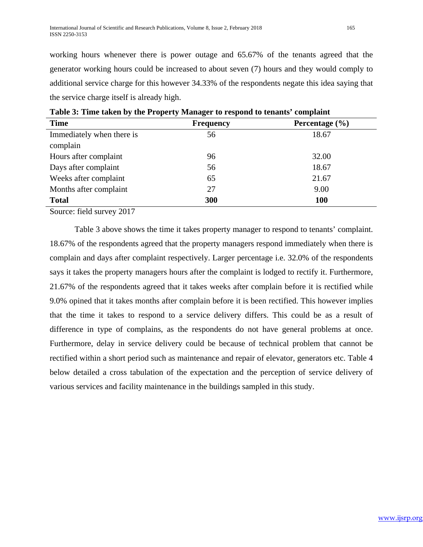working hours whenever there is power outage and 65.67% of the tenants agreed that the generator working hours could be increased to about seven (7) hours and they would comply to additional service charge for this however 34.33% of the respondents negate this idea saying that the service charge itself is already high.

| <b>Time</b>               | <b>Frequency</b> | Percentage $(\% )$ |
|---------------------------|------------------|--------------------|
| Immediately when there is | 56               | 18.67              |
| complain                  |                  |                    |
| Hours after complaint     | 96               | 32.00              |
| Days after complaint      | 56               | 18.67              |
| Weeks after complaint     | 65               | 21.67              |
| Months after complaint    | 27               | 9.00               |
| <b>Total</b>              | 300              | 100                |
|                           |                  |                    |

| Table 3: Time taken by the Property Manager to respond to tenants' complaint |  |  |
|------------------------------------------------------------------------------|--|--|
|                                                                              |  |  |

Source: field survey 2017

Table 3 above shows the time it takes property manager to respond to tenants' complaint. 18.67% of the respondents agreed that the property managers respond immediately when there is complain and days after complaint respectively. Larger percentage i.e. 32.0% of the respondents says it takes the property managers hours after the complaint is lodged to rectify it. Furthermore, 21.67% of the respondents agreed that it takes weeks after complain before it is rectified while 9.0% opined that it takes months after complain before it is been rectified. This however implies that the time it takes to respond to a service delivery differs. This could be as a result of difference in type of complains, as the respondents do not have general problems at once. Furthermore, delay in service delivery could be because of technical problem that cannot be rectified within a short period such as maintenance and repair of elevator, generators etc. Table 4 below detailed a cross tabulation of the expectation and the perception of service delivery of various services and facility maintenance in the buildings sampled in this study.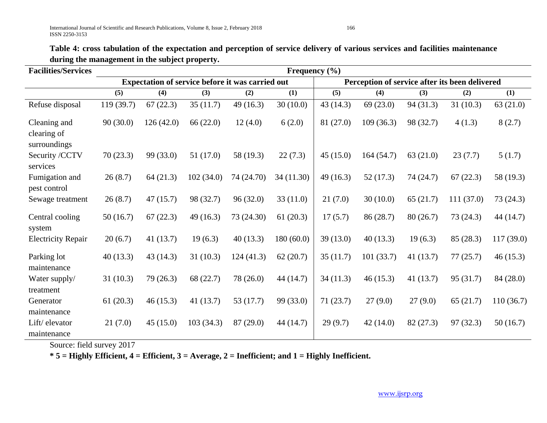**Table 4: cross tabulation of the expectation and perception of service delivery of various services and facilities maintenance during the management in the subject property.**

| <b>Facilities/Services</b>                  | Frequency $(\% )$                                |           |             |             |            |           |                                                |             |           |           |  |  |
|---------------------------------------------|--------------------------------------------------|-----------|-------------|-------------|------------|-----------|------------------------------------------------|-------------|-----------|-----------|--|--|
|                                             | Expectation of service before it was carried out |           |             |             |            |           | Perception of service after its been delivered |             |           |           |  |  |
|                                             | (5)                                              | (4)       | (3)         | (2)         | (1)        | (5)       | (4)                                            | (3)         | (2)       | (1)       |  |  |
| Refuse disposal                             | 119 (39.7)                                       | 67(22.3)  | 35(11.7)    | 49(16.3)    | 30(10.0)   | 43(14.3)  | 69(23.0)                                       | 94(31.3)    | 31(10.3)  | 63(21.0)  |  |  |
| Cleaning and<br>clearing of<br>surroundings | 90(30.0)                                         | 126(42.0) | 66(22.0)    | 12(4.0)     | 6(2.0)     | 81 (27.0) | 109(36.3)                                      | 98 (32.7)   | 4(1.3)    | 8(2.7)    |  |  |
| Security /CCTV<br>services                  | 70(23.3)                                         | 99 (33.0) | 51 (17.0)   | 58 (19.3)   | 22(7.3)    | 45(15.0)  | 164(54.7)                                      | 63(21.0)    | 23(7.7)   | 5(1.7)    |  |  |
| Fumigation and<br>pest control              | 26(8.7)                                          | 64(21.3)  | 102(34.0)   | 74 (24.70)  | 34 (11.30) | 49(16.3)  | 52(17.3)                                       | 74 (24.7)   | 67(22.3)  | 58 (19.3) |  |  |
| Sewage treatment                            | 26(8.7)                                          | 47(15.7)  | 98 (32.7)   | 96(32.0)    | 33(11.0)   | 21(7.0)   | 30(10.0)                                       | 65(21.7)    | 111(37.0) | 73(24.3)  |  |  |
| Central cooling<br>system                   | 50(16.7)                                         | 67(22.3)  | 49(16.3)    | 73 (24.30)  | 61(20.3)   | 17(5.7)   | 86 (28.7)                                      | 80(26.7)    | 73(24.3)  | 44 (14.7) |  |  |
| <b>Electricity Repair</b>                   | 20(6.7)                                          | 41(13.7)  | 19(6.3)     | 40(13.3)    | 180(60.0)  | 39(13.0)  | 40(13.3)                                       | 19(6.3)     | 85 (28.3) | 117(39.0) |  |  |
| Parking lot<br>maintenance                  | 40(13.3)                                         | 43(14.3)  | 31(10.3)    | 124(41.3)   | 62(20.7)   | 35(11.7)  | 101(33.7)                                      | 41 $(13.7)$ | 77(25.7)  | 46(15.3)  |  |  |
| Water supply/<br>treatment                  | 31(10.3)                                         | 79 (26.3) | 68 (22.7)   | 78 (26.0)   | 44 (14.7)  | 34(11.3)  | 46(15.3)                                       | 41(13.7)    | 95(31.7)  | 84 (28.0) |  |  |
| Generator<br>maintenance                    | 61(20.3)                                         | 46(15.3)  | 41 $(13.7)$ | 53 $(17.7)$ | 99 (33.0)  | 71(23.7)  | 27(9.0)                                        | 27(9.0)     | 65(21.7)  | 110(36.7) |  |  |
| Lift/elevator<br>maintenance                | 21(7.0)                                          | 45(15.0)  | 103(34.3)   | 87(29.0)    | 44 (14.7)  | 29(9.7)   | 42(14.0)                                       | 82 (27.3)   | 97(32.3)  | 50(16.7)  |  |  |

Source: field survey 2017

**\* 5 = Highly Efficient, 4 = Efficient, 3 = Average, 2 = Inefficient; and 1 = Highly Inefficient.**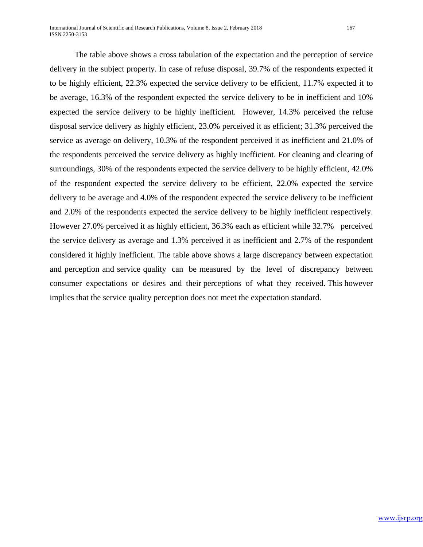The table above shows a cross tabulation of the expectation and the perception of service delivery in the subject property. In case of refuse disposal, 39.7% of the respondents expected it to be highly efficient, 22.3% expected the service delivery to be efficient, 11.7% expected it to be average, 16.3% of the respondent expected the service delivery to be in inefficient and 10% expected the service delivery to be highly inefficient. However, 14.3% perceived the refuse disposal service delivery as highly efficient, 23.0% perceived it as efficient; 31.3% perceived the service as average on delivery, 10.3% of the respondent perceived it as inefficient and 21.0% of the respondents perceived the service delivery as highly inefficient. For cleaning and clearing of surroundings, 30% of the respondents expected the service delivery to be highly efficient, 42.0% of the respondent expected the service delivery to be efficient, 22.0% expected the service delivery to be average and 4.0% of the respondent expected the service delivery to be inefficient and 2.0% of the respondents expected the service delivery to be highly inefficient respectively. However 27.0% perceived it as highly efficient, 36.3% each as efficient while 32.7% perceived the service delivery as average and 1.3% perceived it as inefficient and 2.7% of the respondent considered it highly inefficient. The table above shows a large discrepancy between expectation and perception and service quality can be measured by the level of discrepancy between consumer expectations or desires and their perceptions of what they received. This however implies that the service quality perception does not meet the expectation standard.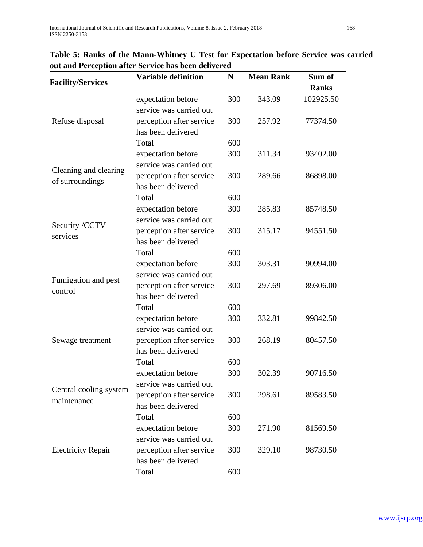|                            | <b>Variable definition</b> | N   | <b>Mean Rank</b> | Sum of       |
|----------------------------|----------------------------|-----|------------------|--------------|
| <b>Facility/Services</b>   |                            |     |                  | <b>Ranks</b> |
|                            | expectation before         | 300 | 343.09           | 102925.50    |
| Refuse disposal            | service was carried out    |     |                  |              |
|                            | perception after service   | 300 | 257.92           | 77374.50     |
|                            | has been delivered         |     |                  |              |
|                            | Total                      | 600 |                  |              |
|                            | expectation before         | 300 | 311.34           | 93402.00     |
| Cleaning and clearing      | service was carried out    |     |                  |              |
|                            | perception after service   | 300 | 289.66           | 86898.00     |
| of surroundings            | has been delivered         |     |                  |              |
|                            | Total                      | 600 |                  |              |
| Security /CCTV<br>services | expectation before         | 300 | 285.83           | 85748.50     |
|                            | service was carried out    |     |                  |              |
|                            | perception after service   | 300 | 315.17           | 94551.50     |
|                            | has been delivered         |     |                  |              |
|                            | Total                      | 600 |                  |              |
| Fumigation and pest        | expectation before         | 300 | 303.31           | 90994.00     |
|                            | service was carried out    |     |                  |              |
| control                    | perception after service   | 300 | 297.69           | 89306.00     |
|                            | has been delivered         |     |                  |              |
|                            | Total                      | 600 |                  |              |
|                            | expectation before         | 300 | 332.81           | 99842.50     |
|                            | service was carried out    |     |                  |              |
| Sewage treatment           | perception after service   | 300 | 268.19           | 80457.50     |
|                            | has been delivered         |     |                  |              |
|                            | Total                      | 600 |                  |              |
|                            | expectation before         | 300 | 302.39           | 90716.50     |
| Central cooling system     | service was carried out    |     |                  |              |
| maintenance                | perception after service   | 300 | 298.61           | 89583.50     |
|                            | has been delivered         |     |                  |              |
|                            | Total                      | 600 |                  |              |
|                            | expectation before         | 300 | 271.90           | 81569.50     |
|                            | service was carried out    |     |                  |              |
| <b>Electricity Repair</b>  | perception after service   | 300 | 329.10           | 98730.50     |
|                            | has been delivered         |     |                  |              |
|                            | Total                      | 600 |                  |              |

| Table 5: Ranks of the Mann-Whitney U Test for Expectation before Service was carried |  |
|--------------------------------------------------------------------------------------|--|
| out and Perception after Service has been delivered                                  |  |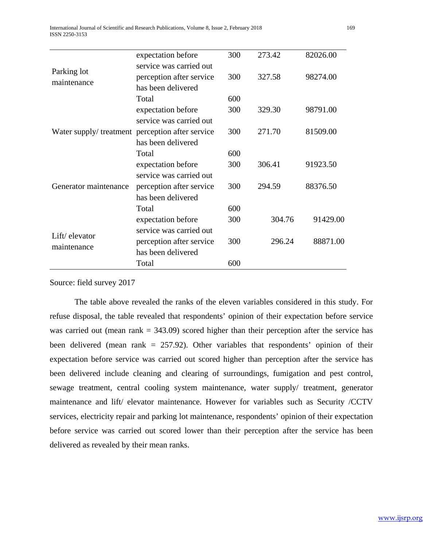|                                                  | expectation before       | 300 | 273.42 | 82026.00 |
|--------------------------------------------------|--------------------------|-----|--------|----------|
|                                                  | service was carried out  |     |        |          |
| Parking lot<br>maintenance                       | perception after service | 300 | 327.58 | 98274.00 |
|                                                  | has been delivered       |     |        |          |
|                                                  | Total                    | 600 |        |          |
|                                                  | expectation before       | 300 | 329.30 | 98791.00 |
|                                                  | service was carried out  |     |        |          |
| Water supply/ treatment perception after service |                          | 300 | 271.70 | 81509.00 |
|                                                  | has been delivered       |     |        |          |
|                                                  | Total                    | 600 |        |          |
|                                                  | expectation before       | 300 | 306.41 | 91923.50 |
|                                                  | service was carried out  |     |        |          |
| Generator maintenance                            | perception after service | 300 | 294.59 | 88376.50 |
|                                                  | has been delivered       |     |        |          |
|                                                  | Total                    | 600 |        |          |
|                                                  | expectation before       | 300 | 304.76 | 91429.00 |
| Lift/elevator                                    | service was carried out  |     |        |          |
| maintenance                                      | perception after service | 300 | 296.24 | 88871.00 |
|                                                  | has been delivered       |     |        |          |
|                                                  | Total                    | 600 |        |          |

Source: field survey 2017

The table above revealed the ranks of the eleven variables considered in this study. For refuse disposal, the table revealed that respondents' opinion of their expectation before service was carried out (mean rank  $= 343.09$ ) scored higher than their perception after the service has been delivered (mean rank = 257.92). Other variables that respondents' opinion of their expectation before service was carried out scored higher than perception after the service has been delivered include cleaning and clearing of surroundings, fumigation and pest control, sewage treatment, central cooling system maintenance, water supply/ treatment, generator maintenance and lift/ elevator maintenance. However for variables such as Security /CCTV services, electricity repair and parking lot maintenance, respondents' opinion of their expectation before service was carried out scored lower than their perception after the service has been delivered as revealed by their mean ranks.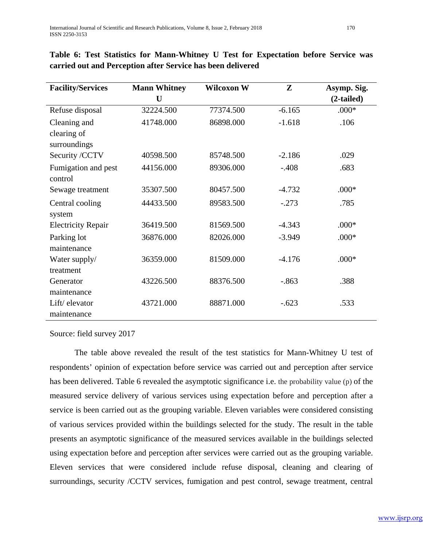| <b>Facility/Services</b>  | <b>Mann Whitney</b> | Wilcoxon W | ${\bf Z}$ | Asymp. Sig.  |
|---------------------------|---------------------|------------|-----------|--------------|
|                           | U                   |            |           | $(2-tailed)$ |
| Refuse disposal           | 32224.500           | 77374.500  | $-6.165$  | $.000*$      |
| Cleaning and              | 41748.000           | 86898.000  | $-1.618$  | .106         |
| clearing of               |                     |            |           |              |
| surroundings              |                     |            |           |              |
| Security /CCTV            | 40598.500           | 85748.500  | $-2.186$  | .029         |
| Fumigation and pest       | 44156.000           | 89306.000  | $-.408$   | .683         |
| control                   |                     |            |           |              |
| Sewage treatment          | 35307.500           | 80457.500  | $-4.732$  | $.000*$      |
| Central cooling           | 44433.500           | 89583.500  | $-.273$   | .785         |
| system                    |                     |            |           |              |
| <b>Electricity Repair</b> | 36419.500           | 81569.500  | $-4.343$  | $.000*$      |
| Parking lot               | 36876.000           | 82026.000  | $-3.949$  | $.000*$      |
| maintenance               |                     |            |           |              |
| Water supply/             | 36359.000           | 81509.000  | $-4.176$  | $.000*$      |
| treatment                 |                     |            |           |              |
| Generator                 | 43226.500           | 88376.500  | $-.863$   | .388         |
| maintenance               |                     |            |           |              |
| Lift/elevator             | 43721.000           | 88871.000  | $-.623$   | .533         |
| maintenance               |                     |            |           |              |

|  |  | Table 6: Test Statistics for Mann-Whitney U Test for Expectation before Service was |  |  |  |  |
|--|--|-------------------------------------------------------------------------------------|--|--|--|--|
|  |  | carried out and Perception after Service has been delivered                         |  |  |  |  |

Source: field survey 2017

The table above revealed the result of the test statistics for Mann-Whitney U test of respondents' opinion of expectation before service was carried out and perception after service has been delivered. Table 6 revealed the asymptotic significance i.e. the probability value (p) of the measured service delivery of various services using expectation before and perception after a service is been carried out as the grouping variable. Eleven variables were considered consisting of various services provided within the buildings selected for the study. The result in the table presents an asymptotic significance of the measured services available in the buildings selected using expectation before and perception after services were carried out as the grouping variable. Eleven services that were considered include refuse disposal, cleaning and clearing of surroundings, security /CCTV services, fumigation and pest control, sewage treatment, central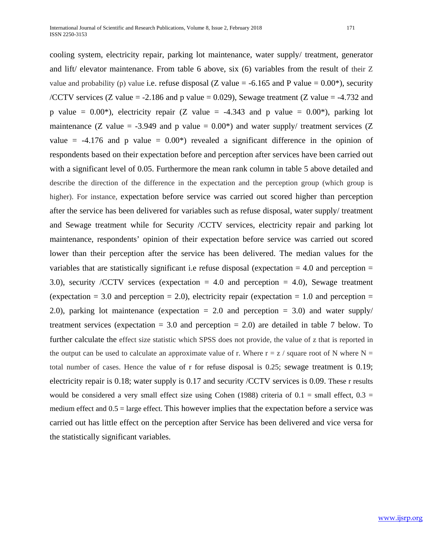cooling system, electricity repair, parking lot maintenance, water supply/ treatment, generator and lift/ elevator maintenance. From table 6 above, six (6) variables from the result of their Z value and probability (p) value i.e. refuse disposal (Z value =  $-6.165$  and P value =  $0.00^*$ ), security /CCTV services (Z value =  $-2.186$  and p value = 0.029), Sewage treatment (Z value =  $-4.732$  and p value =  $0.00^*$ ), electricity repair (Z value =  $-4.343$  and p value =  $0.00^*$ ), parking lot maintenance (Z value = -3.949 and p value =  $0.00^*$ ) and water supply/ treatment services (Z value =  $-4.176$  and p value =  $0.00^*$ ) revealed a significant difference in the opinion of respondents based on their expectation before and perception after services have been carried out with a significant level of 0.05. Furthermore the mean rank column in table 5 above detailed and describe the direction of the difference in the expectation and the perception group (which group is higher). For instance, expectation before service was carried out scored higher than perception after the service has been delivered for variables such as refuse disposal, water supply/ treatment and Sewage treatment while for Security /CCTV services, electricity repair and parking lot maintenance, respondents' opinion of their expectation before service was carried out scored lower than their perception after the service has been delivered. The median values for the variables that are statistically significant i.e refuse disposal (expectation  $= 4.0$  and perception  $=$ 3.0), security /CCTV services (expectation  $= 4.0$  and perception  $= 4.0$ ), Sewage treatment (expectation  $= 3.0$  and perception  $= 2.0$ ), electricity repair (expectation  $= 1.0$  and perception  $=$ 2.0), parking lot maintenance (expectation  $= 2.0$  and perception  $= 3.0$ ) and water supply/ treatment services (expectation  $= 3.0$  and perception  $= 2.0$ ) are detailed in table 7 below. To further calculate the effect size statistic which SPSS does not provide, the value of z that is reported in the output can be used to calculate an approximate value of r. Where  $r = z / square$  root of N where N = total number of cases. Hence the value of r for refuse disposal is 0.25; sewage treatment is 0.19; electricity repair is 0.18; water supply is 0.17 and security /CCTV services is 0.09. These r results would be considered a very small effect size using Cohen (1988) criteria of  $0.1$  = small effect,  $0.3$  = medium effect and 0.5 = large effect. This however implies that the expectation before a service was carried out has little effect on the perception after Service has been delivered and vice versa for the statistically significant variables.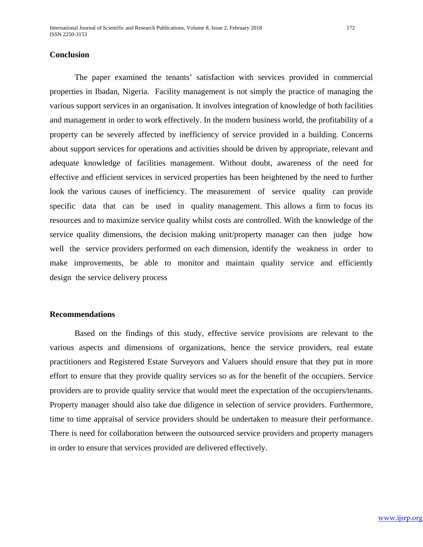## **Conclusion**

The paper examined the tenants' satisfaction with services provided in commercial properties in Ibadan, Nigeria. Facility management is not simply the practice of managing the various support services in an organisation. It involves integration of knowledge of both facilities and management in order to work effectively. In the modern business world, the profitability of a property can be severely affected by inefficiency of service provided in a building. Concerns about support services for operations and activities should be driven by appropriate, relevant and adequate knowledge of facilities management. Without doubt, awareness of the need for effective and efficient services in serviced properties has been heightened by the need to further look the various causes of inefficiency. The measurement of service quality can provide specific data that can be used in quality management. This allows a firm to focus its resources and to maximize service quality whilst costs are controlled. With the knowledge of the service quality dimensions, the decision making unit/property manager can then judge how well the service providers performed on each dimension, identify the weakness in order to make improvements, be able to monitor and maintain quality service and efficiently design the service delivery process

#### **Recommendations**

Based on the findings of this study, effective service provisions are relevant to the various aspects and dimensions of organizations, hence the service providers, real estate practitioners and Registered Estate Surveyors and Valuers should ensure that they put in more effort to ensure that they provide quality services so as for the benefit of the occupiers. Service providers are to provide quality service that would meet the expectation of the occupiers/tenants. Property manager should also take due diligence in selection of service providers. Furthermore, time to time appraisal of service providers should be undertaken to measure their performance. There is need for collaboration between the outsourced service providers and property managers in order to ensure that services provided are delivered effectively.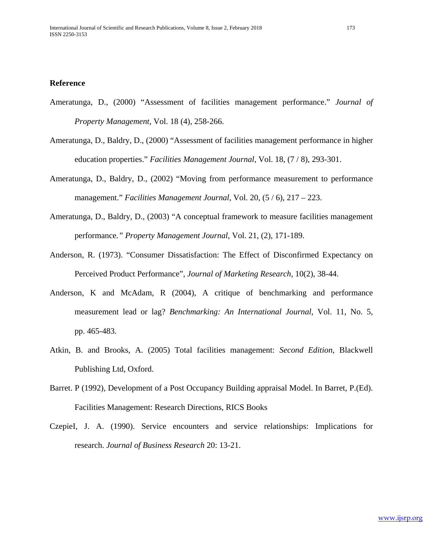## **Reference**

- Ameratunga, D., (2000) "Assessment of facilities management performance." *Journal of Property Management*, Vol. 18 (4), 258-266.
- Ameratunga, D., Baldry, D., (2000) "Assessment of facilities management performance in higher education properties." *Facilities Management Journal*, Vol. 18, (7 / 8), 293-301.
- Ameratunga, D., Baldry, D., (2002) "Moving from performance measurement to performance management." *Facilities Management Journal*, Vol. 20, (5 / 6), 217 – 223.
- Ameratunga, D., Baldry, D., (2003) "A conceptual framework to measure facilities management performance*." Property Management Journal*, Vol. 21, (2), 171-189.
- Anderson, R. (1973). "Consumer Dissatisfaction: The Effect of Disconfirmed Expectancy on Perceived Product Performance", *Journal of Marketing Research*, 10(2), 38-44.
- Anderson, K and McAdam, R (2004), A critique of benchmarking and performance measurement lead or lag? *Benchmarking: An International Journal*, Vol. 11, No. 5, pp. 465-483.
- Atkin, B. and Brooks, A. (2005) Total facilities management: *Second Edition*, Blackwell Publishing Ltd, Oxford.
- Barret. P (1992), Development of a Post Occupancy Building appraisal Model. In Barret, P.(Ed). Facilities Management: Research Directions, RICS Books
- CzepieI, J. A. (1990). Service encounters and service relationships: Implications for research. *Journal of Business Research* 20: 13-21.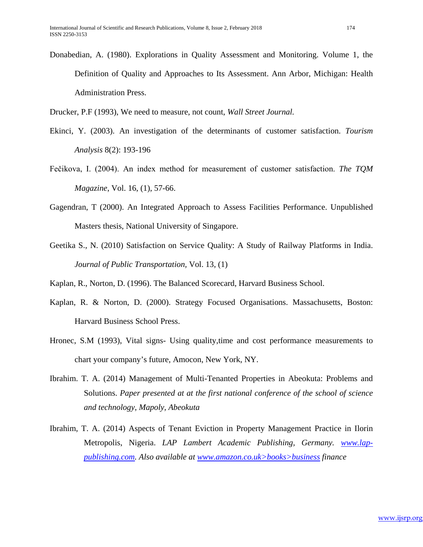Donabedian, A. (1980). Explorations in Quality Assessment and Monitoring. Volume 1, the Definition of Quality and Approaches to Its Assessment. Ann Arbor, Michigan: Health Administration Press.

Drucker, P.F (1993), We need to measure, not count, *Wall Street Journal.*

- Ekinci, Y. (2003). An investigation of the determinants of customer satisfaction. *Tourism Analysis* 8(2): 193-196
- Fečikova, I. (2004). An index method for measurement of customer satisfaction. *The TQM Magazine*, Vol. 16, (1), 57-66.
- Gagendran, T (2000). An Integrated Approach to Assess Facilities Performance. Unpublished Masters thesis, National University of Singapore.
- Geetika S., N. (2010) Satisfaction on Service Quality: A Study of Railway Platforms in India. *Journal of Public Transportation,* Vol. 13, (1)

Kaplan, R., Norton, D. (1996). The Balanced Scorecard, Harvard Business School.

- Kaplan, R. & Norton, D. (2000). Strategy Focused Organisations. Massachusetts, Boston: Harvard Business School Press.
- Hronec, S.M (1993), Vital signs- Using quality,time and cost performance measurements to chart your company's future, Amocon, New York, NY.
- Ibrahim. T. A. (2014) Management of Multi-Tenanted Properties in Abeokuta: Problems and Solutions. *Paper presented at at the first national conference of the school of science and technology, Mapoly, Abeokuta*
- Ibrahim, T. A. (2014) Aspects of Tenant Eviction in Property Management Practice in Ilorin Metropolis, Nigeria. *LAP Lambert Academic Publishing, Germany. [www.lap](http://www.lap-publishing.com/)[publishing.com.](http://www.lap-publishing.com/) Also available at www.amazon.co.uk>books>business finance*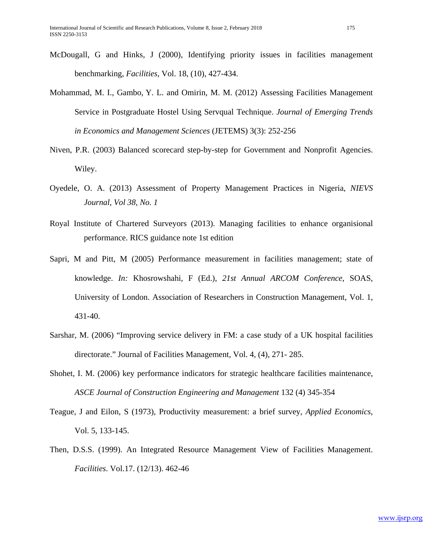- McDougall, G and Hinks, J (2000), Identifying priority issues in facilities management benchmarking, *Facilities*, Vol. 18, (10), 427-434.
- Mohammad, M. I., Gambo, Y. L. and Omirin, M. M. (2012) Assessing Facilities Management Service in Postgraduate Hostel Using Servqual Technique. *Journal of Emerging Trends in Economics and Management Sciences* (JETEMS) 3(3): 252-256
- Niven, P.R. (2003) Balanced scorecard step-by-step for Government and Nonprofit Agencies. Wiley.
- Oyedele, O. A. (2013) Assessment of Property Management Practices in Nigeria, *NIEVS Journal, Vol 38, No. 1*
- Royal Institute of Chartered Surveyors (2013). Managing facilities to enhance organisional performance. RICS guidance note 1st edition
- Sapri, M and Pitt, M (2005) Performance measurement in facilities management; state of knowledge. *In:* Khosrowshahi, F (Ed.), *21st Annual ARCOM Conference*, SOAS, University of London. Association of Researchers in Construction Management, Vol. 1, 431-40.
- Sarshar, M. (2006) "Improving service delivery in FM: a case study of a UK hospital facilities directorate." Journal of Facilities Management, Vol. 4, (4), 271- 285.
- Shohet, I. M. (2006) key performance indicators for strategic healthcare facilities maintenance, *ASCE Journal of Construction Engineering and Management* 132 (4) 345-354
- Teague, J and Eilon, S (1973), Productivity measurement: a brief survey, *Applied Economics*, Vol. 5, 133-145.
- Then, D.S.S. (1999). An Integrated Resource Management View of Facilities Management. *Facilities*. Vol.17. (12/13). 462-46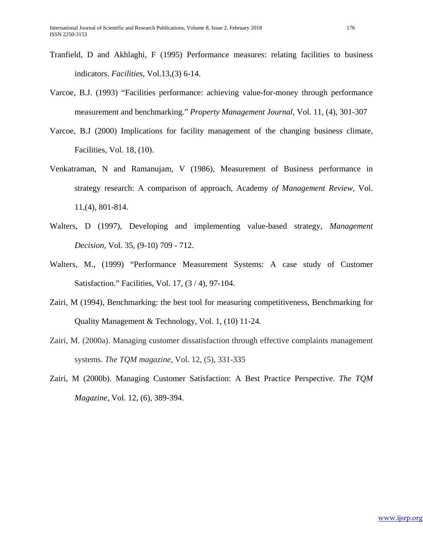- Tranfield, D and Akhlaghi, F (1995) Performance measures: relating facilities to business indicators. *Facilities,* Vol.13,(3) 6-14.
- Varcoe, B.J. (1993) "Facilities performance: achieving value-for-money through performance measurement and benchmarking." *Property Management Journal*, Vol. 11, (4), 301-307
- Varcoe, B.J (2000) Implications for facility management of the changing business climate, Facilities, Vol. 18, (10).
- Venkatraman, N and Ramanujam, V (1986), Measurement of Business performance in strategy research: A comparison of approach, Academy *of Management Review,* Vol. 11,(4), 801-814.
- Walters, D (1997), Developing and implementing value-based strategy, *Management Decision,* Vol. 35, (9-10) 709 - 712.
- Walters, M., (1999) "Performance Measurement Systems: A case study of Customer Satisfaction." Facilities, Vol. 17, (3 / 4), 97-104.
- Zairi, M (1994), Benchmarking: the best tool for measuring competitiveness, Benchmarking for Quality Management & Technology, Vol. 1, (10) 11-24.
- Zairi, M. (2000a). Managing customer dissatisfaction through effective complaints management systems. *The TQM magazine,* Vol. 12, (5), 331-335
- Zairi, M (2000b). Managing Customer Satisfaction: A Best Practice Perspective. *The TQM Magazine*, Vol. 12, (6), 389-394.